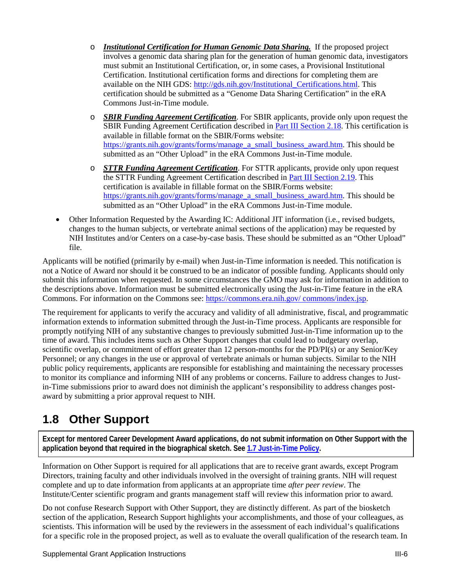- o *Institutional Certification for Human Genomic Data Sharing.* If the proposed project involves a genomic data sharing plan for the generation of human genomic data, investigators must submit an Institutional Certification, or, in some cases, a Provisional Institutional Certification. Institutional certification forms and directions for completing them are available on the NIH GDS: http://gds.nih.gov/Institutional\_Certifications.html. This certification should be submitted as a "Genome Data Sharing Certification" in the eRA Commons Just-in-Time module.
- o *SBIR Funding Agreement Certification*. For SBIR applicants, provide only upon request the SBIR Funding Agreement Certification described in Part III Section 2.18. This certification is available in fillable format on the SBIR/Forms website: https://grants.nih.gov/grants/forms/manage\_a\_small\_business\_award.htm. This should be submitted as an "Other Upload" in the eRA Commons Just-in-Time module.
- o *STTR Funding Agreement Certification*. For STTR applicants, provide only upon request the STTR Funding Agreement Certification described in Part III Section 2.19. This certification is available in fillable format on the SBIR/Forms website: https://grants.nih.gov/grants/forms/manage\_a\_small\_business\_award.htm. This should be submitted as an "Other Upload" in the eRA Commons Just-in-Time module.
- Other Information Requested by the Awarding IC: Additional JIT information (i.e., revised budgets, changes to the human subjects, or vertebrate animal sections of the application) may be requested by NIH Institutes and/or Centers on a case-by-case basis. These should be submitted as an "Other Upload" file.

Applicants will be notified (primarily by e-mail) when Just-in-Time information is needed. This notification is not a Notice of Award nor should it be construed to be an indicator of possible funding. Applicants should only submit this information when requested. In some circumstances the GMO may ask for information in addition to the descriptions above. Information must be submitted electronically using the Just-in-Time feature in the eRA Commons. For information on the Commons see: https://commons.era.nih.gov/ commons/index.jsp.

The requirement for applicants to verify the accuracy and validity of all administrative, fiscal, and programmatic information extends to information submitted through the Just-in-Time process. Applicants are responsible for promptly notifying NIH of any substantive changes to previously submitted Just-in-Time information up to the time of award. This includes items such as Other Support changes that could lead to budgetary overlap, scientific overlap, or commitment of effort greater than 12 person-months for the PD/PI(s) or any Senior/Key Personnel; or any changes in the use or approval of vertebrate animals or human subjects. Similar to the NIH public policy requirements, applicants are responsible for establishing and maintaining the necessary processes to monitor its compliance and informing NIH of any problems or concerns. Failure to address changes to Justin-Time submissions prior to award does not diminish the applicant's responsibility to address changes postaward by submitting a prior approval request to NIH.

# **1.8 Other Support**

**Except for mentored Career Development Award applications, do not submit information on Other Support with the application beyond that required in the biographical sketch. See 1.7 Just-in-Time Policy.** 

Information on Other Support is required for all applications that are to receive grant awards, except Program Directors, training faculty and other individuals involved in the oversight of training grants. NIH will request complete and up to date information from applicants at an appropriate time *after peer review*. The Institute/Center scientific program and grants management staff will review this information prior to award.

Do not confuse Research Support with Other Support, they are distinctly different. As part of the biosketch section of the application, Research Support highlights your accomplishments, and those of your colleagues, as scientists. This information will be used by the reviewers in the assessment of each individual's qualifications for a specific role in the proposed project, as well as to evaluate the overall qualification of the research team. In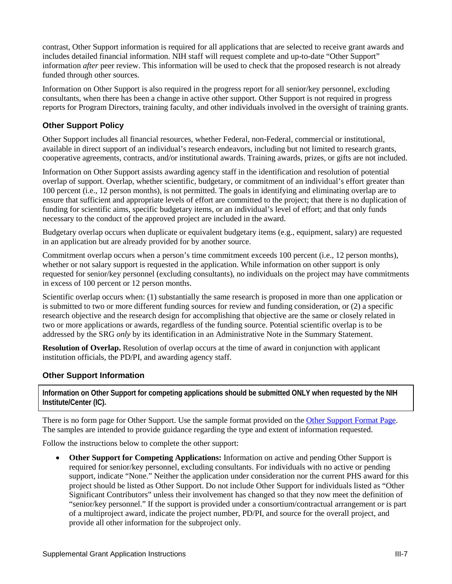contrast, Other Support information is required for all applications that are selected to receive grant awards and includes detailed financial information. NIH staff will request complete and up-to-date "Other Support" information *after* peer review. This information will be used to check that the proposed research is not already funded through other sources.

Information on Other Support is also required in the progress report for all senior/key personnel, excluding consultants, when there has been a change in active other support. Other Support is not required in progress reports for Program Directors, training faculty, and other individuals involved in the oversight of training grants.

#### **Other Support Policy**

Other Support includes all financial resources, whether Federal, non-Federal, commercial or institutional, available in direct support of an individual's research endeavors, including but not limited to research grants, cooperative agreements, contracts, and/or institutional awards. Training awards, prizes, or gifts are not included.

Information on Other Support assists awarding agency staff in the identification and resolution of potential overlap of support. Overlap, whether scientific, budgetary, or commitment of an individual's effort greater than 100 percent (i.e., 12 person months), is not permitted. The goals in identifying and eliminating overlap are to ensure that sufficient and appropriate levels of effort are committed to the project; that there is no duplication of funding for scientific aims, specific budgetary items, or an individual's level of effort; and that only funds necessary to the conduct of the approved project are included in the award.

Budgetary overlap occurs when duplicate or equivalent budgetary items (e.g., equipment, salary) are requested in an application but are already provided for by another source.

Commitment overlap occurs when a person's time commitment exceeds 100 percent (i.e., 12 person months), whether or not salary support is requested in the application. While information on other support is only requested for senior/key personnel (excluding consultants), no individuals on the project may have commitments in excess of 100 percent or 12 person months.

Scientific overlap occurs when: (1) substantially the same research is proposed in more than one application or is submitted to two or more different funding sources for review and funding consideration, or (2) a specific research objective and the research design for accomplishing that objective are the same or closely related in two or more applications or awards, regardless of the funding source. Potential scientific overlap is to be addressed by the SRG *only* by its identification in an Administrative Note in the Summary Statement.

**Resolution of Overlap.** Resolution of overlap occurs at the time of award in conjunction with applicant institution officials, the PD/PI, and awarding agency staff.

### **Other Support Information**

**Information on Other Support for competing applications should be submitted ONLY when requested by the NIH Institute/Center (IC).**

There is no form page for Other Support. Use the sample format provided on the Other Support Format Page. The samples are intended to provide guidance regarding the type and extent of information requested.

Follow the instructions below to complete the other support:

• **Other Support for Competing Applications:** Information on active and pending Other Support is required for senior/key personnel, excluding consultants. For individuals with no active or pending support, indicate "None." Neither the application under consideration nor the current PHS award for this project should be listed as Other Support. Do not include Other Support for individuals listed as "Other Significant Contributors" unless their involvement has changed so that they now meet the definition of "senior/key personnel." If the support is provided under a consortium/contractual arrangement or is part of a multiproject award, indicate the project number, PD/PI, and source for the overall project, and provide all other information for the subproject only.